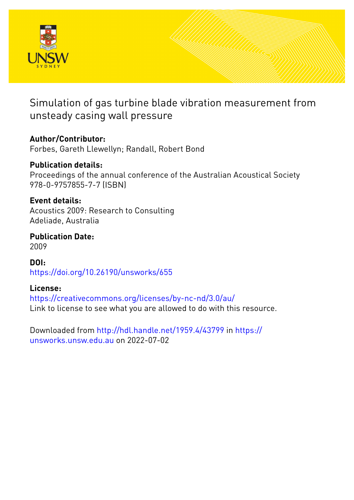

# Simulation of gas turbine blade vibration measurement from unsteady casing wall pressure

## **Author/Contributor:**

Forbes, Gareth Llewellyn; Randall, Robert Bond

## **Publication details:**

Proceedings of the annual conference of the Australian Acoustical Society 978-0-9757855-7-7 (ISBN)

### **Event details:**

Acoustics 2009: Research to Consulting Adeliade, Australia

### **Publication Date:** 2009

**DOI:** [https://doi.org/10.26190/unsworks/655](http://dx.doi.org/https://doi.org/10.26190/unsworks/655)

## **License:**

<https://creativecommons.org/licenses/by-nc-nd/3.0/au/> Link to license to see what you are allowed to do with this resource.

Downloaded from <http://hdl.handle.net/1959.4/43799> in [https://](https://unsworks.unsw.edu.au) [unsworks.unsw.edu.au](https://unsworks.unsw.edu.au) on 2022-07-02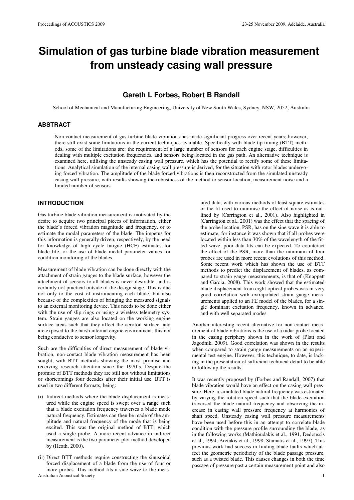# **Simulation of gas turbine blade vibration measurement from unsteady casing wall pressure**

### **Gareth L Forbes, Robert B Randall**

School of Mechanical and Manufacturing Engineering, University of New South Wales, Sydney, NSW, 2052, Australia

#### **ABSTRACT**

Non-contact measurement of gas turbine blade vibrations has made significant progress over recent years; however, there still exist some limitations in the current techniques available. Specifically with blade tip timing (BTT) methods, some of the limitations are: the requirement of a large number of sensors for each engine stage, difficulties in dealing with multiple excitation frequencies, and sensors being located in the gas path. An alternative technique is examined here, utilising the unsteady casing wall pressure, which has the potential to rectify some of these limitations. Analytical simulation of the internal casing wall pressure is derived, for the situation with rotor blades undergoing forced vibration. The amplitude of the blade forced vibrations is then reconstructed from the simulated unsteady casing wall pressure, with results showing the robustness of the method to sensor location, measurement noise and a limited number of sensors.

#### **INTRODUCTION**

Gas turbine blade vibration measurement is motivated by the desire to acquire two principal pieces of information, either the blade's forced vibration magnitude and frequency, or to estimate the modal parameters of the blade. The impetus for this information is generally driven, respectively, by the need for knowledge of high cycle fatigue (HCF) estimates for blade life, or the use of blade modal parameter values for condition monitoring of the blades.

Measurement of blade vibration can be done directly with the attachment of strain gauges to the blade surface, however the attachment of sensors to all blades is never desirable, and is certainly not practical outside of the design stage. This is due not only to the cost of instrumenting each blade, but also because of the complexities of bringing the measured signals to an external monitoring device. This needs to be done either with the use of slip rings or using a wireless telemetry system. Strain gauges are also located on the working engine surface areas such that they affect the aerofoil surface, and are exposed to the harsh internal engine environment, this not being conducive to sensor longevity.

Such are the difficulties of direct measurement of blade vibration, non-contact blade vibration measurement has been sought, with BTT methods showing the most promise and receiving research attention since the 1970's. Despite the promise of BTT methods they are still not without limitations or shortcomings four decades after their initial use. BTT is used in two different formats, being:

- (i) Indirect methods where the blade displacement is measured while the engine speed is swept over a range such that a blade excitation frequency traverses a blade mode natural frequency. Estimates can then be made of the amplitude and natural frequency of the mode that is being excited. This was the original method of BTT, which used a single probe. A more recent advance in indirect measurement is the two parameter plot method developed by (Heath, 2000).
- Australian Acoustical Society 1 (ii) Direct BTT methods require constructing the sinusoidal forced displacement of a blade from the use of four or more probes. This method fits a sine wave to the meas-

ured data, with various methods of least square estimates of the fit used to minimise the effect of noise as is outlined by (Carrington et al., 2001). Also highlighted in (Carrington et al., 2001) was the effect that the spacing of the probe location, PSR, has on the sine wave it is able to estimate; for instance it was shown that if all probes were located within less than 30% of the wavelength of the fitted wave, poor data fits can be expected. To counteract the effect of the PSR, more than the minimum of four probes are used in more recent evolutions of this method. Some recent work which has shown the use of BTT methods to predict the displacement of blades, as compared to strain gauge measurements, is that of (Knappett and Garcia, 2008). This work showed that the estimated blade displacement from eight optical probes was in very good correlation with extrapolated strain gauge measurements applied to an FE model of the blades, for a single dominant excitation frequency, known in advance, and with well separated modes.

Another interesting recent alternative for non-contact measurement of blade vibrations is the use of a radar probe located in the casing periphery shown in the work of (Platt and Jagodnik, 2009). Good correlation was shown in the results when compared to strain gauge measurements on an experimental test engine. However, this technique, to date, is lacking in the presentation of sufficient technical detail to be able to follow up the results.

It was recently proposed by (Forbes and Randall, 2007) that blade vibration would have an effect on the casing wall pressure. Here, a simulated blade natural frequency was estimated by varying the rotation speed such that the blade excitation traversed the blade natural frequency and observing the increase in casing wall pressure frequency at harmonics of shaft speed. Unsteady casing wall pressure measurements have been used before this in an attempt to correlate blade condition with the pressure profile surrounding the blade, as in the following works (Mathioudakis et al., 1991, Dedoussis et al., 1994, Aretakis et al., 1998, Stamatis et al., 1997). This previous work had success in finding blade faults which affect the geometric periodicity of the blade passage pressure, such as a twisted blade. This causes changes in both the time passage of pressure past a certain measurement point and also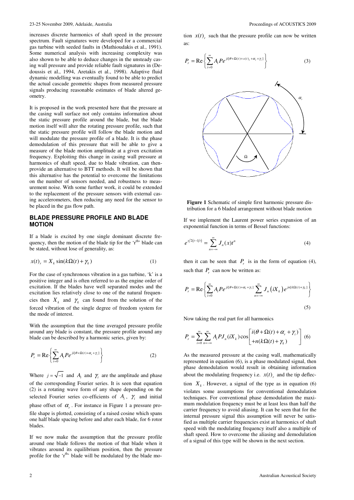increases discrete harmonics of shaft speed in the pressure spectrum. Fault signatures were developed for a commercial gas turbine with seeded faults in (Mathioudakis et al., 1991). Some numerical analysis with increasing complexity was also shown to be able to deduce changes in the unsteady casing wall pressure and provide reliable fault signatures in (Dedoussis et al., 1994, Aretakis et al., 1998). Adaptive fluid dynamic modelling was eventually found to be able to predict the actual cascade geometric shapes from measured pressure signals producing reasonable estimates of blade altered geometry.

It is proposed in the work presented here that the pressure at the casing wall surface not only contains information about the static pressure profile around the blade, but the blade motion itself will alter the rotating pressure profile, such that the static pressure profile will follow the blade motion and will modulate the pressure profile of a blade. It is the phase demodulation of this pressure that will be able to give a measure of the blade motion amplitude at a given excitation frequency. Exploiting this change in casing wall pressure at harmonics of shaft speed, due to blade vibration, can thenprovide an alternative to BTT methods. It will be shown that this alternative has the potential to overcome the limitations on the number of sensors needed, and robustness to measurement noise. With some further work, it could be extended to the replacement of the pressure sensors with external casing accelerometers, then reducing any need for the sensor to be placed in the gas flow path.

#### **BLADE PRESSURE PROFILE AND BLADE MOTION**

If a blade is excited by one single dominant discrete frequency, then the motion of the blade tip for the 'r<sup>th</sup>' blade can be stated, without lose of generality, as:

$$
x(t)_{r} = X_{k} \sin(k\Omega(t) + \gamma_{k})
$$
\n(1)

For the case of synchronous vibration in a gas turbine, 'k' is a positive integer and is often referred to as the engine order of excitation. If the blades have well separated modes and the excitation lies relatively close to one of the natural frequencies then  $X_k$  and  $\gamma_k$  can found from the solution of the forced vibration of the single degree of freedom system for the mode of interest.

With the assumption that the time averaged pressure profile around any blade is constant, the pressure profile around any blade can be described by a harmonic series, given by:

$$
P_r = \text{Re}\left\{\sum_{i=0}^{\infty} A_i P e^{i i [\theta + \Omega(t) + \alpha_r + \gamma_i]} \right\}
$$
 (2)

Where  $j = \sqrt{-1}$  and  $A_i$  and  $\gamma_i$  are the amplitude and phase of the corresponding Fourier series. It is seen that equation (2) is a rotating wave form of any shape depending on the selected Fourier series co-efficients of  $A_i$ ,  $\gamma_i$  and initial phase offset of  $\alpha_r$ . For instance in Figure 1 a pressure profile shape is plotted, consisting of a raised cosine which spans one half blade spacing before and after each blade, for 6 rotor blades.

If we now make the assumption that the pressure profile around one blade follows the motion of that blade when it vibrates around its equilibrium position, then the pressure profile for the 'r<sup>th</sup>' blade will be modulated by the blade mo-

tion  $x(t)$ , such that the pressure profile can now be written as:

$$
P_r = \text{Re}\left\{\sum_{i=0}^{\infty} A_i P e^{j i (\theta + \Omega(t) + x(t), +\alpha_r + \gamma_i)}\right\}
$$
(3)

#### **Figure 1** Schematic of simple first harmonic pressure distribution for a 6 bladed arrangement without blade motion

If we implement the Laurent power series expansion of an exponential function in terms of Bessel functions:

$$
e^{x/2(t-1/t)} = \sum_{n=-\infty}^{\infty} J_n(x)t^n
$$
 (4)

then it can be seen that  $P_r$  is in the form of equation (4), such that  $P_r$  can now be written as:

$$
P_r = \text{Re}\left\{\sum_{i=0}^{\infty} A_i P e^{ji[\theta + \Omega(t) + \alpha_r + \gamma_i]} \sum_{n=-\infty}^{\infty} J_n(iX_k) e^{jn[k\Omega(t) + \gamma_k]}\right\}
$$
(5)

Now taking the real part for all harmonics

$$
P_r = \sum_{i=0}^{\infty} \sum_{n=-\infty}^{\infty} A_i P J_n(iX_k) \cos \left[ \frac{i(\theta + \Omega(t) + \alpha_r + \gamma_i)}{+n(k\Omega(t) + \gamma_k)} \right] (6)
$$

As the measured pressure at the casing wall, mathematically represented in equation (6), is a phase modulated signal, then phase demodulation would result in obtaining information about the modulating frequency i.e.  $x(t)$ <sub>r</sub> and the tip deflec-

tion  $X_k$ . However, a signal of the type as in equation (6) violates some assumptions for conventional demodulation techniques. For conventional phase demodulation the maximum modulation frequency must be at least less than half the carrier frequency to avoid aliasing. It can be seen that for the internal pressure signal this assumption will never be satisfied as multiple carrier frequencies exist at harmonics of shaft speed with the modulating frequency itself also a multiple of shaft speed. How to overcome the aliasing and demodulation of a signal of this type will be shown in the next section.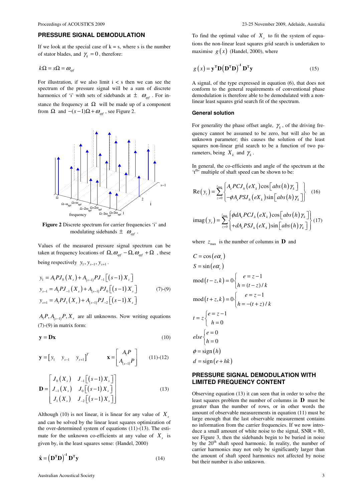#### **PRESSURE SIGNAL DEMODULATION**

If we look at the special case of  $k = s$ , where s is the number of stator blades, and  $\gamma_k = 0$ , therefore:

$$
k\Omega = s\Omega = \omega_{\text{spf}}
$$

For illustration, if we also limit  $i < s$  then we can see the spectrum of the pressure signal will be a sum of discrete harmonics of 'i' with sets of sidebands at  $\pm \omega_{\rm opt}$ . For instance the frequency at  $\Omega$  will be made up of a component from  $\Omega$  and  $-(s-1)\Omega + \omega_{\text{opt}}$ , see Figure 2.



**Figure 2** Discrete spectrum for carrier frequencies 'i' and modulating sidebands  $\pm \omega_{\text{spf}}$ .

Values of the measured pressure signal spectrum can be taken at frequency locations of  $\Omega$ ,  $\omega_{\text{spf}} - \Omega$ ,  $\omega_{\text{spf}} + \Omega$ , these being respectively  $y_1, y_{s-1}, y_{s+1}$ .

$$
y_{1} = A_{1}PJ_{0}(X_{s}) + A_{(s-1)}PJ_{-1}[(s-1)X_{s}]
$$
  
\n
$$
y_{s-1} = A_{1}PJ_{-1}(X_{s}) + A_{(s-1)}PJ_{0}[(s-1)X_{s}]
$$
  
\n
$$
y_{s+1} = A_{1}PJ_{1}(X_{s}) + A_{(s-1)}PJ_{-2}[(s-1)X_{s}]
$$
\n(7)-(9)

 $A_1 P, A_{(s-1)} P, X_s$  are all unknowns. Now writing equations  $(7)-(9)$  in matrix form:

$$
y = Dx \tag{10}
$$

$$
\mathbf{y} = \begin{bmatrix} y_1 & y_{s-1} & y_{s+1} \end{bmatrix}^T \qquad \qquad \mathbf{x} = \begin{bmatrix} A_1 P \\ A_{(s-1)} P \end{bmatrix} \tag{11)-(12)}
$$

$$
\mathbf{D} = \begin{bmatrix} J_0(X_s) & J_{-1}[(s-1)X_s] \\ J_{-1}(X_s) & J_0[(s-1)X_s] \\ J_1(X_s) & J_{-2}[(s-1)X_s] \end{bmatrix}
$$
(13)

Although (10) is not linear, it is linear for any value of  $X<sub>s</sub>$ and can be solved by the linear least squares optimization of the over-determined system of equations (11)-(13). The estimate for the unknown co-efficients at any value of  $X<sub>s</sub>$  is given by, in the least squares sense: (Handel, 2000)

$$
\hat{\mathbf{x}} = (\mathbf{D}^{\mathrm{T}} \mathbf{D})^{\mathrm{T}} \mathbf{D}^{\mathrm{T}} \mathbf{y}
$$
 (14)

To find the optimal value of  $X<sub>s</sub>$  to fit the system of equations the non-linear least squares grid search is undertaken to maximise  $g(x)$  (Handel, 2000), where

$$
g(x) = \mathbf{y}^{\mathrm{T}} \mathbf{D} (\mathbf{D}^{\mathrm{T}} \mathbf{D})^{\mathrm{T}} \mathbf{D}^{\mathrm{T}} \mathbf{y}
$$
 (15)

A signal, of the type expressed in equation (6), that does not conform to the general requirements of conventional phase demodulation is therefore able to be demodulated with a nonlinear least squares grid search fit of the spectrum.

#### **General solution**

For generality the phase offset angle,  $\gamma_k$ , of the driving frequency cannot be assumed to be zero, but will also be an unknown parameter; this causes the solution of the least squares non-linear grid search to be a function of two parameters, being  $X_k$  and  $\gamma_k$ .

In general, the co-efficients and angle of the spectrum at the 't<sup>th'</sup> multiple of shaft speed can be shown to be:

$$
\operatorname{Re}(y_{t}) = \sum_{z=0}^{z_{\text{max}}} \begin{cases} A_{e} P C J_{h} (eX_{k}) \cos[\,abs(h)\,\gamma_{k}\,] \\ -\phi A_{e} P S J_{h} (eX_{k}) \sin[\,abs(h)\,\gamma_{k}\,] \end{cases} \tag{16}
$$

$$
\operatorname{imag}(y_{t}) = \sum_{z=0}^{z_{\text{max}}} \begin{cases} \phi d A_{e} P C J_{h} (eX_{k}) \cos[\,abs(h)\,\gamma_{k}\,] \\ +d A_{e} P S J_{h} (eX_{k}) \sin[\,abs(h)\,\gamma_{k}\,] \end{cases} \tag{17}
$$

where  $z_{\text{max}}$  is the number of columns in **D** and

$$
C = \cos(e\alpha_r)
$$
  
\n
$$
S = \sin(e\alpha_r)
$$
  
\n
$$
\text{mod}(t - z, k) = 0 \begin{cases} e = z - 1 \\ h = (t - z) / k \end{cases}
$$
  
\n
$$
\text{mod}(t + z, k) = 0 \begin{cases} e = z - 1 \\ h = -(t + z) / k \end{cases}
$$
  
\n
$$
t = z \begin{cases} e = z - 1 \\ h = 0 \end{cases}
$$
  
\n
$$
else \begin{cases} e = 0 \\ h = 0 \end{cases}
$$
  
\n
$$
\phi = \text{sign}(h)
$$
  
\n
$$
d = \text{sign}(e + hk)
$$

#### **PRESSURE SIGNAL DEMODULATION WITH LIMITED FREQUENCY CONTENT**

Observing equation (13) it can seen that in order to solve the least squares problem the number of columns in **D** must be greater than the number of rows, or in other words the amount of observable measurements in equation (11) must be large enough that the last observable measurement contains no information from the carrier frequencies. If we now introduce a small amount of white noise to the signal,  $SNR = 80$ , see Figure 3, then the sidebands begin to be buried in noise by the  $20<sup>th</sup>$  shaft speed harmonic. In reality, the number of carrier harmonics may not only be significantly larger than the amount of shaft speed harmonics not affected by noise but their number is also unknown.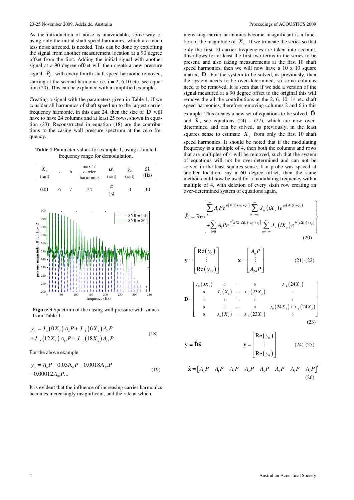As the introduction of noise is unavoidable, some way of using only the initial shaft speed harmonics, which are much less noise affected, is needed. This can be done by exploiting the signal from another measurement location at a 90 degree offset from the first. Adding the initial signal with another signal at a 90 degree offset will then create a new pressure signal,  $\hat{P}_r$ , with every fourth shaft speed harmonic removed, starting at the second harmonic i.e.  $i = 2, 6, 10$  etc. see equation (20). This can be explained with a simplified example.

Creating a signal with the parameters given in Table 1, if we consider all harmonics of shaft speed up to the largest carrier frequency harmonic, in this case 24, then the size of **D** will have to have 24 columns and at least 25 rows, shown in equation (23). Reconstructed in equation (18) are the contributions to the casing wall pressure spectrum at the zero frequency.

**Table 1** Parameter values for example 1, using a limited frequency range for demodulation.



**Figure 3** Spectrum of the casing wall pressure with values from Table 1.

$$
y_o = J_o(0X_s) A_o P + J_{-1}(6X_s) A_6 P
$$
  
+
$$
J_{-2}(12X_s) A_{12} P + J_{-3}(18X_s) A_{18} P...
$$
 (18)

For the above example

$$
y_o = A_o P - 0.03A_6 P + 0.0018A_{12}P
$$
  
-0.00012A<sub>18</sub>P... (19)

It is evident that the influence of increasing carrier harmonics becomes increasingly insignificant, and the rate at which

increasing carrier harmonics become insignificant is a function of the magnitude of  $X<sub>s</sub>$ . If we truncate the series so that only the first 10 carrier frequencies are taken into account, this allows for at least the first two terms in the series to be present, and also taking measurements at the first 10 shaft speed harmonics, then we will now have a 10 x 10 square matrix, **D** . For the system to be solved, as previously, then the system needs to be over-determined, so some columns need to be removed. It is seen that if we add a version of the signal measured at a 90 degree offset to the original this will remove the all the contributions at the 2, 6, 10, 14 etc shaft speed harmonics, therefore removing columns 2 and 6 in this example. This creates a new set of equations to be solved,  $\hat{\mathbf{D}}$ and  $\hat{\mathbf{x}}$ , see equations (24) - (27), which are now overdetermined and can be solved, as previously, in the least squares sense to estimate  $X<sub>s</sub>$  from only the first 10 shaft speed harmonics. It should be noted that if the modulating frequency is a multiple of 4, then both the columns and rows that are multiples of 4 will be removed, such that the system of equations will not be over-determined and can not be solved in the least squares sense. If a probe was spaced at another location, say a 60 degree offset, then the same method could now be used for a modulating frequency with a multiple of 4, with deletion of every sixth row creating an over-determined system of equations again.

$$
\hat{P}_r = \text{Re}\left\{\sum_{i=0}^{\infty} A_i P e^{j i \left[\Omega(t) + \alpha_r + \gamma_i\right]} \sum_{n=-\infty}^{\infty} J_n(iX_s) e^{j n \left(s \Omega(t) + \gamma_k\right)} \right\} + \sum_{i=0}^{\infty} A_i P e^{j i \left[\pi/2 + \Omega(t) + \alpha_r + \gamma_i\right]} \sum_{n=-\infty}^{\infty} J_n(iX_s) e^{j n \left(s \Omega(t) + \gamma_k\right)} \right\}
$$
\n(20)

$$
\mathbf{y} = \begin{bmatrix} \text{Re}(y_0) \\ \vdots \\ \text{Re}(y_{25}) \end{bmatrix} \qquad \mathbf{x} = \begin{bmatrix} A_o P \\ \vdots \\ A_{24} P \end{bmatrix} \qquad (21)-(22)
$$

$$
\mathbf{D} = \begin{bmatrix} J_0(0X_s) & 0 & \cdots & 0 & J_{-4}(24X_s) \\ 0 & J_0(X_s) & \cdots & J_{-4}(23X_s) & 0 \\ \vdots & \vdots & \ddots & \vdots & \vdots & \vdots \\ 0 & 0 & \cdots & 0 & J_0(24X_s) + J_{-8}(24X_s) \\ 0 & J_4(X_s) & \cdots & J_{-8}(23X_s) & 0 \end{bmatrix}
$$
(23)

$$
\mathbf{y} = \hat{\mathbf{D}}\hat{\mathbf{x}} \qquad \qquad \mathbf{y} = \begin{bmatrix} \text{Re}(y_0) \\ \vdots \\ \text{Re}(y_9) \end{bmatrix} \qquad (24)-(25)
$$

$$
\hat{\mathbf{x}} = \begin{bmatrix} A_o P & A_1 P & A_3 P & A_4 P & A_5 P & A_7 P & A_8 P & A_9 P \end{bmatrix}^T \tag{26}
$$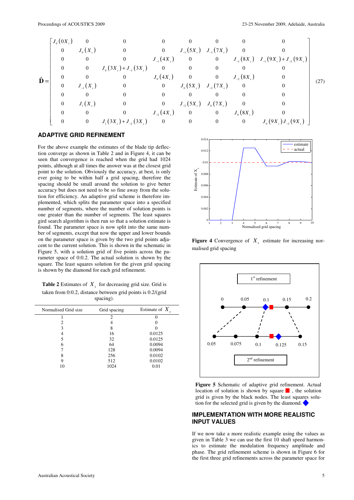$$
\hat{\mathbf{D}} = \begin{bmatrix}\nJ_{0}(0X_{s}) & 0 & 0 & 0 & 0 & 0 & 0 & 0 \\
0 & J_{0}(X_{s}) & 0 & 0 & J_{-1}(5X_{s}) & J_{-1}(7X_{s}) & 0 & 0 \\
0 & 0 & 0 & J_{-1}(4X_{s}) & 0 & 0 & J_{-1}(8X_{s}) & J_{-1}(9X_{s})+J_{-2}(9X_{s}) \\
0 & 0 & J_{0}(3X_{s})+J_{-1}(3X_{s}) & 0 & 0 & 0 & 0 & 0 \\
0 & 0 & 0 & J_{0}(4X_{s}) & 0 & 0 & J_{-2}(8X_{s}) & 0 \\
0 & J_{-1}(X_{s}) & 0 & 0 & J_{0}(5X_{s}) & J_{-2}(7X_{s}) & 0 & 0 \\
0 & 0 & 0 & 0 & 0 & 0 & 0 & 0 \\
0 & J_{1}(X_{s}) & 0 & 0 & J_{-2}(5X_{s}) & J_{0}(7X_{s}) & 0 & 0 \\
0 & 0 & 0 & J_{-2}(4X_{s}) & 0 & 0 & J_{0}(8X_{s}) & 0 \\
0 & 0 & 0 & J_{1}(3X_{s})+J_{-2}(3X_{s}) & 0 & 0 & 0 & J_{0}(8X_{s}) & J_{0}(9X_{s})J_{-3}(9X_{s})\n\end{bmatrix}
$$
\n(27)

#### **ADAPTIVE GRID REFINEMENT**

For the above example the estimates of the blade tip deflection converge as shown in Table 2 and in Figure 4, it can be seen that convergence is reached when the grid had 1024 points, although at all times the answer was at the closest grid point to the solution. Obviously the accuracy, at best, is only ever going to be within half a grid spacing, therefore the spacing should be small around the solution to give better accuracy but does not need to be so fine away from the solution for efficiency. An adaptive grid scheme is therefore implemented, which splits the parameter space into a specified number of segments, where the number of solution points is one greater than the number of segments. The least squares gird search algorithm is then run so that a solution estimate is found. The parameter space is now split into the same number of segments, except that now the upper and lower bounds on the parameter space is given by the two grid points adjacent to the current solution. This is shown in the schematic in Figure 5, with a solution grid of five points across the parameter space of 0:0.2. The actual solution is shown by the square. The least squares solution for the given grid spacing is shown by the diamond for each grid refinement.

**Table 2** Estimates of  $X_s$  for decreasing grid size. Grid is taken from 0:0.2, distance between grid points is 0.2/(grid spacing).

| Normalised Grid size | Grid spacing   | Estimate of $X_{\alpha}$ |  |
|----------------------|----------------|--------------------------|--|
|                      | $\mathfrak{D}$ |                          |  |
| っ                    |                |                          |  |
| 3                    | 8              |                          |  |
|                      | 16             | 0.0125                   |  |
| 5                    | 32             | 0.0125                   |  |
| 6                    | 64             | 0.0094                   |  |
|                      | 128            | 0.0094                   |  |
| 8                    | 256            | 0.0102                   |  |
| 9                    | 512            | 0.0102                   |  |
| 10                   | 1024           | 0.01                     |  |
|                      |                |                          |  |



**Figure 4** Convergence of  $X<sub>s</sub>$  estimate for increasing normalised grid spacing



**Figure 5** Schematic of adaptive grid refinement. Actual location of solution is shown by square  $\blacksquare$ , the solution grid is given by the black nodes. The least squares solution for the selected grid is given by the diamond.

#### **IMPLEMENTATION WITH MORE REALISTIC INPUT VALUES**

If we now take a more realistic example using the values as given in Table 3 we can use the first 10 shaft speed harmonics to estimate the modulation frequency amplitude and phase. The grid refinement scheme is shown in Figure 6 for the first three grid refinements across the parameter space for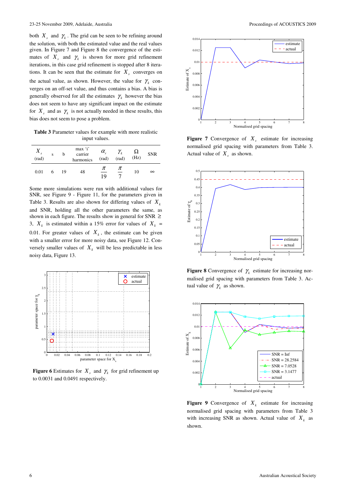both  $X_s$  and  $\gamma_k$ . The grid can be seen to be refining around the solution, with both the estimated value and the real values given. In Figure 7 and Figure 8 the convergence of the estimates of  $X_s$  and  $\gamma_k$  is shown for more grid refinement iterations, in this case grid refinement is stopped after 8 iterations. It can be seen that the estimate for  $X<sub>s</sub>$  converges on the actual value, as shown. However, the value for  $\gamma_k$  converges on an off-set value, and thus contains a bias. A bias is generally observed for all the estimates  $\gamma_k$  however the bias does not seem to have any significant impact on the estimate for  $X_s$  and as  $\gamma_k$  is not actually needed in these results, this bias does not seem to pose a problem.

**Table 3** Parameter values for example with more realistic input values.

| $X_{s}$<br>(rad) | S |    | max 'i'<br>carrier<br>harmonics | $\alpha_{\rm r}$<br>$\text{(rad)}$ | (rad)             | $\frac{\Omega}{\text{(Hz)}}$ | <b>SNR</b> |
|------------------|---|----|---------------------------------|------------------------------------|-------------------|------------------------------|------------|
| 0.01             | 6 | 19 | 48                              | π<br>19                            | $\frac{\pi}{\pi}$ | 10                           | $\infty$   |

Some more simulations were run with additional values for SNR, see Figure 9 - Figure 11, for the parameters given in Table 3. Results are also shown for differing values of *X<sup>k</sup>* and SNR, holding all the other parameters the same, as shown in each figure. The results show in general for SNR  $\geq$ 3,  $X_k$  is estimated within a 15% error for values of  $X_k =$ 0.01. For greater values of  $X_k$ , the estimate can be given with a smaller error for more noisy data, see Figure 12. Conversely smaller values of  $X_k$  will be less predictable in less noisy data, Figure 13.



**Figure 6** Estimates for  $X_s$  and  $\gamma_k$  for grid refinement up to 0.0031 and 0.0491 respectively.



**Figure 7** Convergence of  $X<sub>s</sub>$  estimate for increasing normalised grid spacing with parameters from Table 3. Actual value of  $X_s$  as shown.



**Figure 8** Convergence of  $\gamma_k$  estimate for increasing normalised grid spacing with parameters from Table 3. Actual value of  $\gamma_k$  as shown.



**Figure 9** Convergence of  $X_k$  estimate for increasing normalised grid spacing with parameters from Table 3 with increasing SNR as shown. Actual value of  $X_k$  as shown.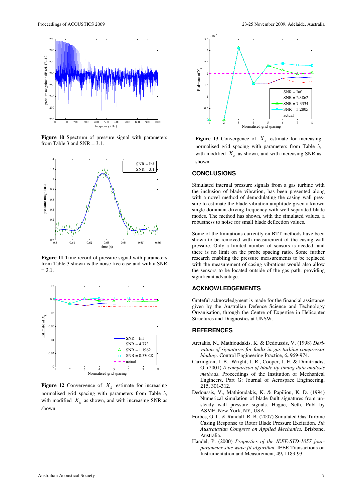

**Figure 10** Spectrum of pressure signal with parameters from Table 3 and  $SNR = 3.1$ .



**Figure 11** Time record of pressure signal with parameters from Table 3 shown is the noise free case and with a SNR  $= 3.1.$ 



**Figure 12** Convergence of  $X_k$  estimate for increasing normalised grid spacing with parameters from Table 3, with modified  $X_k$  as shown, and with increasing SNR as shown.



**Figure 13** Convergence of  $X_k$  estimate for increasing normalised grid spacing with parameters from Table 3, with modified  $X_k$  as shown, and with increasing SNR as shown.

#### **CONCLUSIONS**

Simulated internal pressure signals from a gas turbine with the inclusion of blade vibration, has been presented along with a novel method of demodulating the casing wall pressure to estimate the blade vibration amplitude given a known single dominant driving frequency with well separated blade modes. The method has shown, with the simulated values, a robustness to noise for small blade deflection values.

Some of the limitations currently on BTT methods have been shown to be removed with measurement of the casing wall pressure. Only a limited number of sensors is needed, and there is no limit on the probe spacing ratio. Some further research enabling the pressure measurements to be replaced with the measurement of casing vibrations would also allow the sensors to be located outside of the gas path, providing significant advantage.

#### **ACKNOWLEDGEMENTS**

Grateful acknowledgment is made for the financial assistance given by the Australian Defence Science and Technology Organisation, through the Centre of Expertise in Helicopter Structures and Diagnostics at UNSW.

#### **REFERENCES**

- Aretakis, N., Mathioudakis, K. & Dedoussis, V. (1998) *Derivation of signatures for faults in gas turbine compressor blading*. Control Engineering Practice, 6**,** 969-974.
- Carrington, I. B., Wright, J. R., Cooper, J. E. & Dimitriadis, G. (2001) *A comparison of blade tip timing data analysis methods*. Proceedings of the Institution of Mechanical Engineers, Part G: Journal of Aerospace Engineering, 215**,** 301-312.
- Dedoussis, V., Mathioudakis, K. & Papiliou, K. D. (1994) Numerical simulation of blade fault signatures from unsteady wall pressure signals. Hague, Neth, Publ by ASME, New York, NY, USA.
- Forbes, G. L. & Randall, R. B. (2007) Simulated Gas Turbine Casing Response to Rotor Blade Pressure Excitation. *5th Australasian Congress on Applied Mechanics.* Brisbane, Australia.
- Handel, P. (2000) *Properties of the IEEE-STD-1057 fourparameter sine wave fit algorithm*. IEEE Transactions on Instrumentation and Measurement, 49**,** 1189-93.